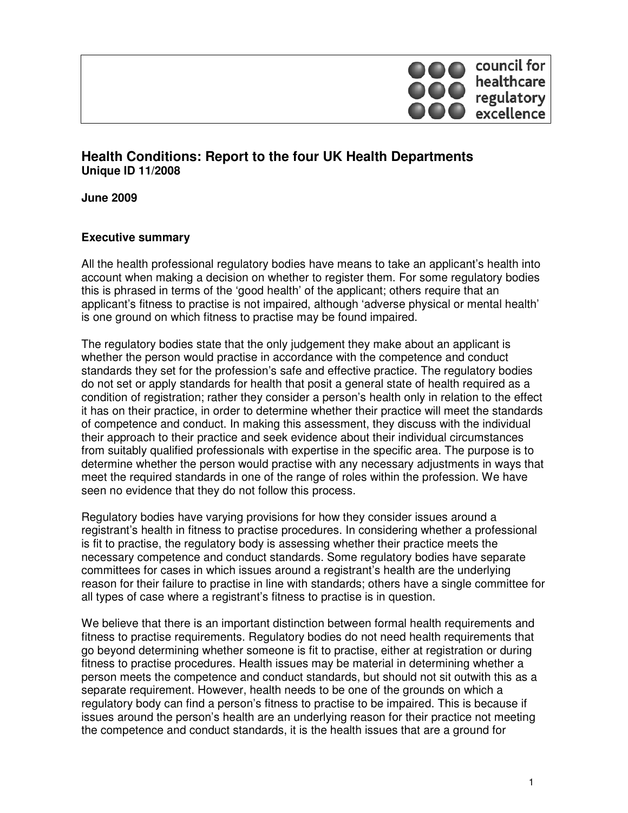

## **Health Conditions: Report to the four UK Health Departments Unique ID 11/2008**

**June 2009** 

#### **Executive summary**

All the health professional regulatory bodies have means to take an applicant's health into account when making a decision on whether to register them. For some regulatory bodies this is phrased in terms of the 'good health' of the applicant; others require that an applicant's fitness to practise is not impaired, although 'adverse physical or mental health' is one ground on which fitness to practise may be found impaired.

The regulatory bodies state that the only judgement they make about an applicant is whether the person would practise in accordance with the competence and conduct standards they set for the profession's safe and effective practice. The regulatory bodies do not set or apply standards for health that posit a general state of health required as a condition of registration; rather they consider a person's health only in relation to the effect it has on their practice, in order to determine whether their practice will meet the standards of competence and conduct. In making this assessment, they discuss with the individual their approach to their practice and seek evidence about their individual circumstances from suitably qualified professionals with expertise in the specific area. The purpose is to determine whether the person would practise with any necessary adjustments in ways that meet the required standards in one of the range of roles within the profession. We have seen no evidence that they do not follow this process.

Regulatory bodies have varying provisions for how they consider issues around a registrant's health in fitness to practise procedures. In considering whether a professional is fit to practise, the regulatory body is assessing whether their practice meets the necessary competence and conduct standards. Some regulatory bodies have separate committees for cases in which issues around a registrant's health are the underlying reason for their failure to practise in line with standards; others have a single committee for all types of case where a registrant's fitness to practise is in question.

We believe that there is an important distinction between formal health requirements and fitness to practise requirements. Regulatory bodies do not need health requirements that go beyond determining whether someone is fit to practise, either at registration or during fitness to practise procedures. Health issues may be material in determining whether a person meets the competence and conduct standards, but should not sit outwith this as a separate requirement. However, health needs to be one of the grounds on which a regulatory body can find a person's fitness to practise to be impaired. This is because if issues around the person's health are an underlying reason for their practice not meeting the competence and conduct standards, it is the health issues that are a ground for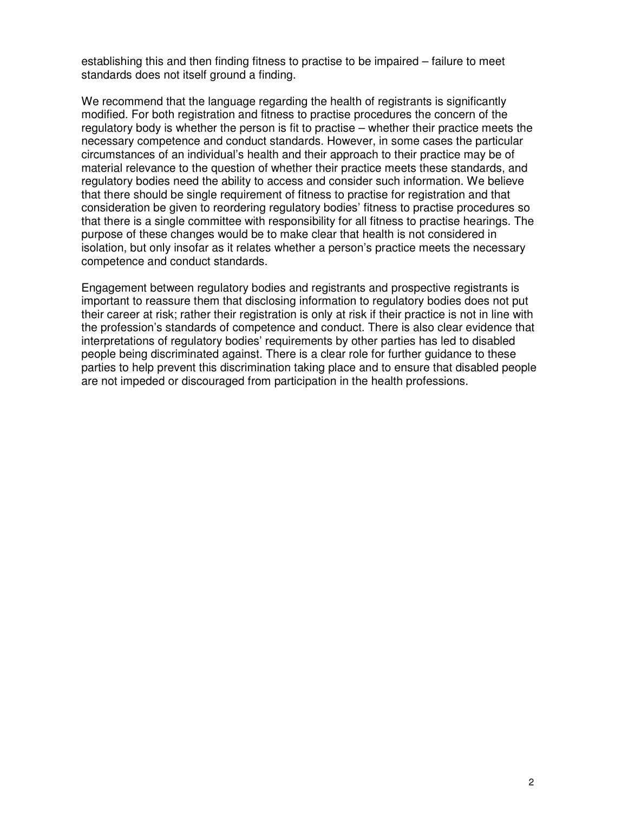establishing this and then finding fitness to practise to be impaired – failure to meet standards does not itself ground a finding.

We recommend that the language regarding the health of registrants is significantly modified. For both registration and fitness to practise procedures the concern of the regulatory body is whether the person is fit to practise – whether their practice meets the necessary competence and conduct standards. However, in some cases the particular circumstances of an individual's health and their approach to their practice may be of material relevance to the question of whether their practice meets these standards, and regulatory bodies need the ability to access and consider such information. We believe that there should be single requirement of fitness to practise for registration and that consideration be given to reordering regulatory bodies' fitness to practise procedures so that there is a single committee with responsibility for all fitness to practise hearings. The purpose of these changes would be to make clear that health is not considered in isolation, but only insofar as it relates whether a person's practice meets the necessary competence and conduct standards.

Engagement between regulatory bodies and registrants and prospective registrants is important to reassure them that disclosing information to regulatory bodies does not put their career at risk; rather their registration is only at risk if their practice is not in line with the profession's standards of competence and conduct. There is also clear evidence that interpretations of regulatory bodies' requirements by other parties has led to disabled people being discriminated against. There is a clear role for further guidance to these parties to help prevent this discrimination taking place and to ensure that disabled people are not impeded or discouraged from participation in the health professions.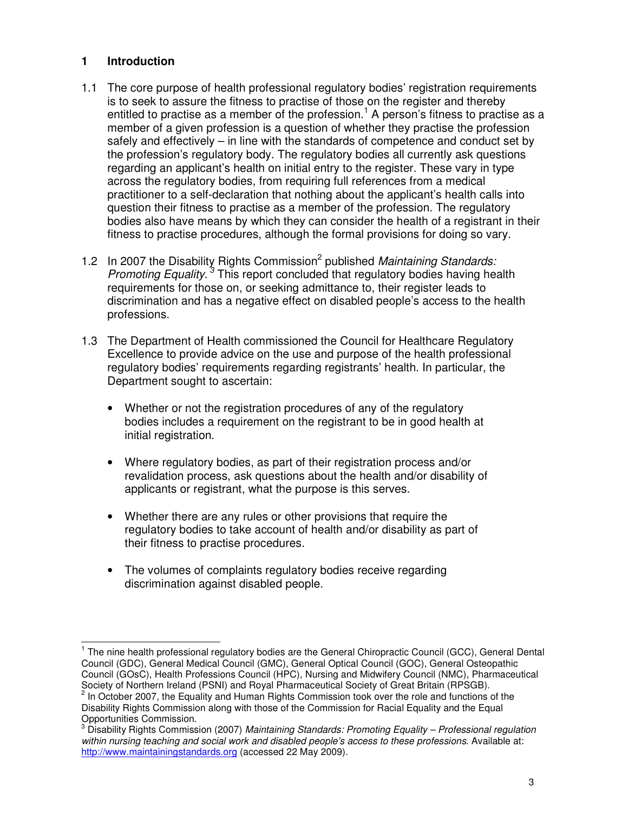#### **1 Introduction**

 $\overline{a}$ 

- 1.1 The core purpose of health professional regulatory bodies' registration requirements is to seek to assure the fitness to practise of those on the register and thereby entitled to practise as a member of the profession.<sup>1</sup> A person's fitness to practise as a member of a given profession is a question of whether they practise the profession safely and effectively – in line with the standards of competence and conduct set by the profession's regulatory body. The regulatory bodies all currently ask questions regarding an applicant's health on initial entry to the register. These vary in type across the regulatory bodies, from requiring full references from a medical practitioner to a self-declaration that nothing about the applicant's health calls into question their fitness to practise as a member of the profession. The regulatory bodies also have means by which they can consider the health of a registrant in their fitness to practise procedures, although the formal provisions for doing so vary.
- 1.2 In 2007 the Disability Rights Commission<sup>2</sup> published Maintaining Standards: Promoting Equality.<sup>3</sup> This report concluded that regulatory bodies having health requirements for those on, or seeking admittance to, their register leads to discrimination and has a negative effect on disabled people's access to the health professions.
- 1.3 The Department of Health commissioned the Council for Healthcare Regulatory Excellence to provide advice on the use and purpose of the health professional regulatory bodies' requirements regarding registrants' health. In particular, the Department sought to ascertain:
	- Whether or not the registration procedures of any of the regulatory bodies includes a requirement on the registrant to be in good health at initial registration.
	- Where regulatory bodies, as part of their registration process and/or revalidation process, ask questions about the health and/or disability of applicants or registrant, what the purpose is this serves.
	- Whether there are any rules or other provisions that require the regulatory bodies to take account of health and/or disability as part of their fitness to practise procedures.
	- The volumes of complaints regulatory bodies receive regarding discrimination against disabled people.

 $2$  In October 2007, the Equality and Human Rights Commission took over the role and functions of the Disability Rights Commission along with those of the Commission for Racial Equality and the Equal Opportunities Commission.

<sup>&</sup>lt;sup>1</sup> The nine health professional regulatory bodies are the General Chiropractic Council (GCC), General Dental Council (GDC), General Medical Council (GMC), General Optical Council (GOC), General Osteopathic Council (GOsC), Health Professions Council (HPC), Nursing and Midwifery Council (NMC), Pharmaceutical Society of Northern Ireland (PSNI) and Royal Pharmaceutical Society of Great Britain (RPSGB).

<sup>&</sup>lt;sup>3</sup> Disability Rights Commission (2007) Maintaining Standards: Promoting Equality – Professional regulation within nursing teaching and social work and disabled people's access to these professions. Available at: http://www.maintainingstandards.org (accessed 22 May 2009).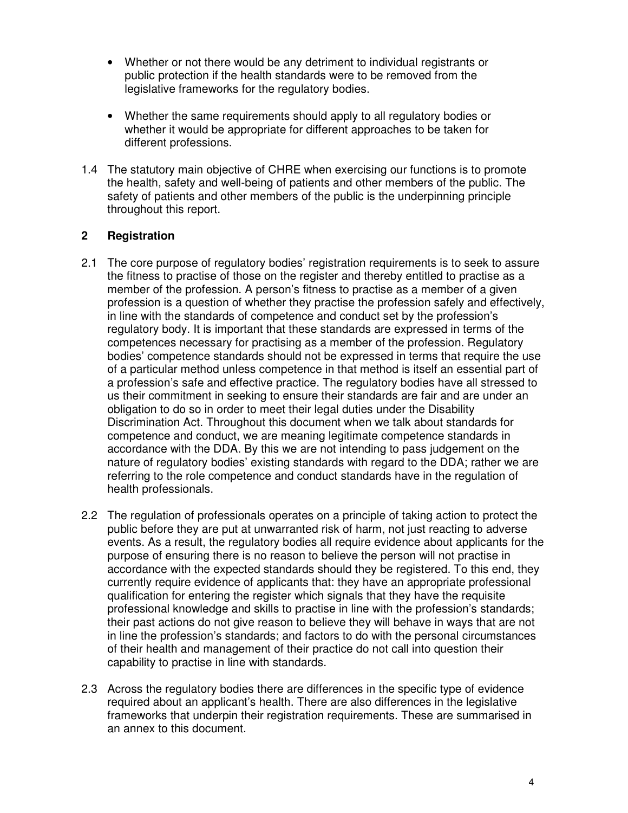- Whether or not there would be any detriment to individual registrants or public protection if the health standards were to be removed from the legislative frameworks for the regulatory bodies.
- Whether the same requirements should apply to all regulatory bodies or whether it would be appropriate for different approaches to be taken for different professions.
- 1.4 The statutory main objective of CHRE when exercising our functions is to promote the health, safety and well-being of patients and other members of the public. The safety of patients and other members of the public is the underpinning principle throughout this report.

#### **2 Registration**

- 2.1 The core purpose of regulatory bodies' registration requirements is to seek to assure the fitness to practise of those on the register and thereby entitled to practise as a member of the profession. A person's fitness to practise as a member of a given profession is a question of whether they practise the profession safely and effectively, in line with the standards of competence and conduct set by the profession's regulatory body. It is important that these standards are expressed in terms of the competences necessary for practising as a member of the profession. Regulatory bodies' competence standards should not be expressed in terms that require the use of a particular method unless competence in that method is itself an essential part of a profession's safe and effective practice. The regulatory bodies have all stressed to us their commitment in seeking to ensure their standards are fair and are under an obligation to do so in order to meet their legal duties under the Disability Discrimination Act. Throughout this document when we talk about standards for competence and conduct, we are meaning legitimate competence standards in accordance with the DDA. By this we are not intending to pass judgement on the nature of regulatory bodies' existing standards with regard to the DDA; rather we are referring to the role competence and conduct standards have in the regulation of health professionals.
- 2.2 The regulation of professionals operates on a principle of taking action to protect the public before they are put at unwarranted risk of harm, not just reacting to adverse events. As a result, the regulatory bodies all require evidence about applicants for the purpose of ensuring there is no reason to believe the person will not practise in accordance with the expected standards should they be registered. To this end, they currently require evidence of applicants that: they have an appropriate professional qualification for entering the register which signals that they have the requisite professional knowledge and skills to practise in line with the profession's standards; their past actions do not give reason to believe they will behave in ways that are not in line the profession's standards; and factors to do with the personal circumstances of their health and management of their practice do not call into question their capability to practise in line with standards.
- 2.3 Across the regulatory bodies there are differences in the specific type of evidence required about an applicant's health. There are also differences in the legislative frameworks that underpin their registration requirements. These are summarised in an annex to this document.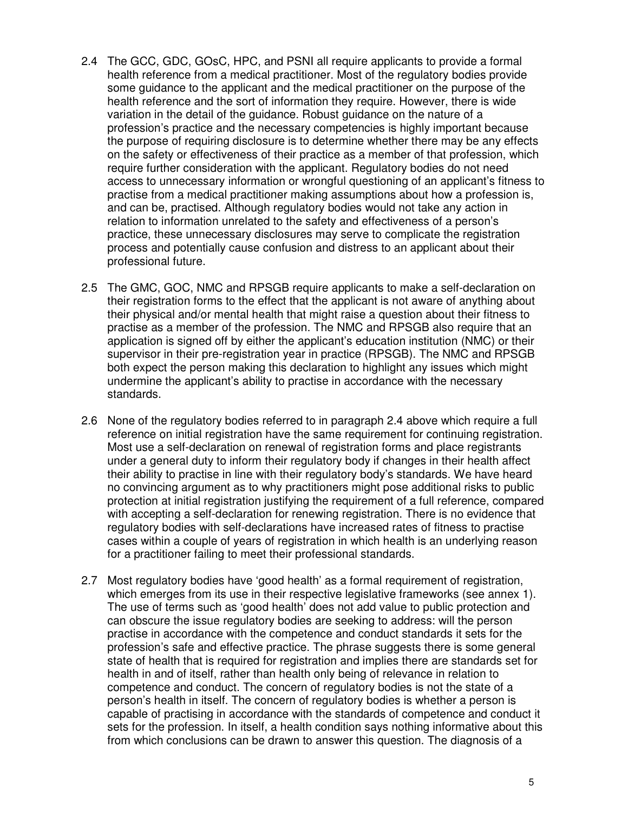- 2.4 The GCC, GDC, GOsC, HPC, and PSNI all require applicants to provide a formal health reference from a medical practitioner. Most of the regulatory bodies provide some guidance to the applicant and the medical practitioner on the purpose of the health reference and the sort of information they require. However, there is wide variation in the detail of the guidance. Robust guidance on the nature of a profession's practice and the necessary competencies is highly important because the purpose of requiring disclosure is to determine whether there may be any effects on the safety or effectiveness of their practice as a member of that profession, which require further consideration with the applicant. Regulatory bodies do not need access to unnecessary information or wrongful questioning of an applicant's fitness to practise from a medical practitioner making assumptions about how a profession is, and can be, practised. Although regulatory bodies would not take any action in relation to information unrelated to the safety and effectiveness of a person's practice, these unnecessary disclosures may serve to complicate the registration process and potentially cause confusion and distress to an applicant about their professional future.
- 2.5 The GMC, GOC, NMC and RPSGB require applicants to make a self-declaration on their registration forms to the effect that the applicant is not aware of anything about their physical and/or mental health that might raise a question about their fitness to practise as a member of the profession. The NMC and RPSGB also require that an application is signed off by either the applicant's education institution (NMC) or their supervisor in their pre-registration year in practice (RPSGB). The NMC and RPSGB both expect the person making this declaration to highlight any issues which might undermine the applicant's ability to practise in accordance with the necessary standards.
- 2.6 None of the regulatory bodies referred to in paragraph 2.4 above which require a full reference on initial registration have the same requirement for continuing registration. Most use a self-declaration on renewal of registration forms and place registrants under a general duty to inform their regulatory body if changes in their health affect their ability to practise in line with their regulatory body's standards. We have heard no convincing argument as to why practitioners might pose additional risks to public protection at initial registration justifying the requirement of a full reference, compared with accepting a self-declaration for renewing registration. There is no evidence that regulatory bodies with self-declarations have increased rates of fitness to practise cases within a couple of years of registration in which health is an underlying reason for a practitioner failing to meet their professional standards.
- 2.7 Most regulatory bodies have 'good health' as a formal requirement of registration, which emerges from its use in their respective legislative frameworks (see annex 1). The use of terms such as 'good health' does not add value to public protection and can obscure the issue regulatory bodies are seeking to address: will the person practise in accordance with the competence and conduct standards it sets for the profession's safe and effective practice. The phrase suggests there is some general state of health that is required for registration and implies there are standards set for health in and of itself, rather than health only being of relevance in relation to competence and conduct. The concern of regulatory bodies is not the state of a person's health in itself. The concern of regulatory bodies is whether a person is capable of practising in accordance with the standards of competence and conduct it sets for the profession. In itself, a health condition says nothing informative about this from which conclusions can be drawn to answer this question. The diagnosis of a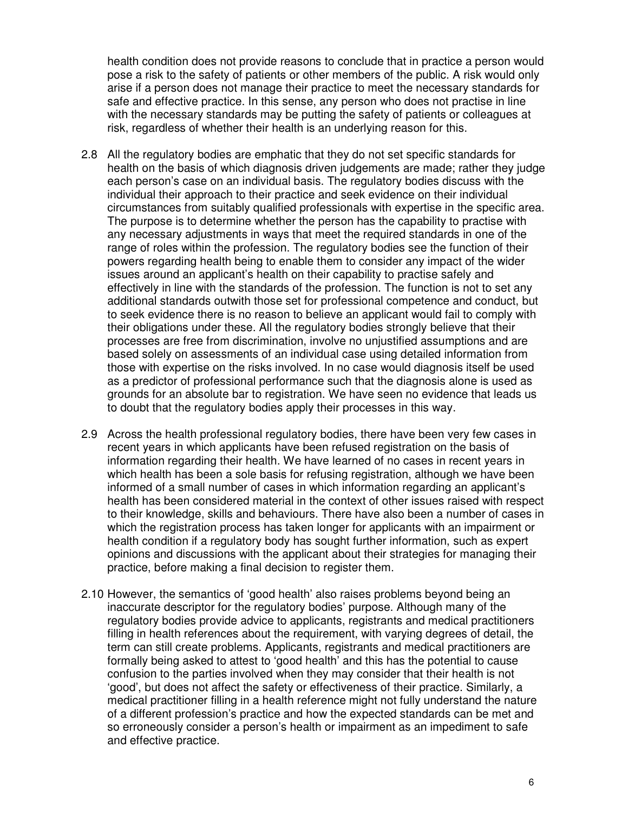health condition does not provide reasons to conclude that in practice a person would pose a risk to the safety of patients or other members of the public. A risk would only arise if a person does not manage their practice to meet the necessary standards for safe and effective practice. In this sense, any person who does not practise in line with the necessary standards may be putting the safety of patients or colleagues at risk, regardless of whether their health is an underlying reason for this.

- 2.8 All the regulatory bodies are emphatic that they do not set specific standards for health on the basis of which diagnosis driven judgements are made; rather they judge each person's case on an individual basis. The regulatory bodies discuss with the individual their approach to their practice and seek evidence on their individual circumstances from suitably qualified professionals with expertise in the specific area. The purpose is to determine whether the person has the capability to practise with any necessary adjustments in ways that meet the required standards in one of the range of roles within the profession. The regulatory bodies see the function of their powers regarding health being to enable them to consider any impact of the wider issues around an applicant's health on their capability to practise safely and effectively in line with the standards of the profession. The function is not to set any additional standards outwith those set for professional competence and conduct, but to seek evidence there is no reason to believe an applicant would fail to comply with their obligations under these. All the regulatory bodies strongly believe that their processes are free from discrimination, involve no unjustified assumptions and are based solely on assessments of an individual case using detailed information from those with expertise on the risks involved. In no case would diagnosis itself be used as a predictor of professional performance such that the diagnosis alone is used as grounds for an absolute bar to registration. We have seen no evidence that leads us to doubt that the regulatory bodies apply their processes in this way.
- 2.9 Across the health professional regulatory bodies, there have been very few cases in recent years in which applicants have been refused registration on the basis of information regarding their health. We have learned of no cases in recent years in which health has been a sole basis for refusing registration, although we have been informed of a small number of cases in which information regarding an applicant's health has been considered material in the context of other issues raised with respect to their knowledge, skills and behaviours. There have also been a number of cases in which the registration process has taken longer for applicants with an impairment or health condition if a regulatory body has sought further information, such as expert opinions and discussions with the applicant about their strategies for managing their practice, before making a final decision to register them.
- 2.10 However, the semantics of 'good health' also raises problems beyond being an inaccurate descriptor for the regulatory bodies' purpose. Although many of the regulatory bodies provide advice to applicants, registrants and medical practitioners filling in health references about the requirement, with varying degrees of detail, the term can still create problems. Applicants, registrants and medical practitioners are formally being asked to attest to 'good health' and this has the potential to cause confusion to the parties involved when they may consider that their health is not 'good', but does not affect the safety or effectiveness of their practice. Similarly, a medical practitioner filling in a health reference might not fully understand the nature of a different profession's practice and how the expected standards can be met and so erroneously consider a person's health or impairment as an impediment to safe and effective practice.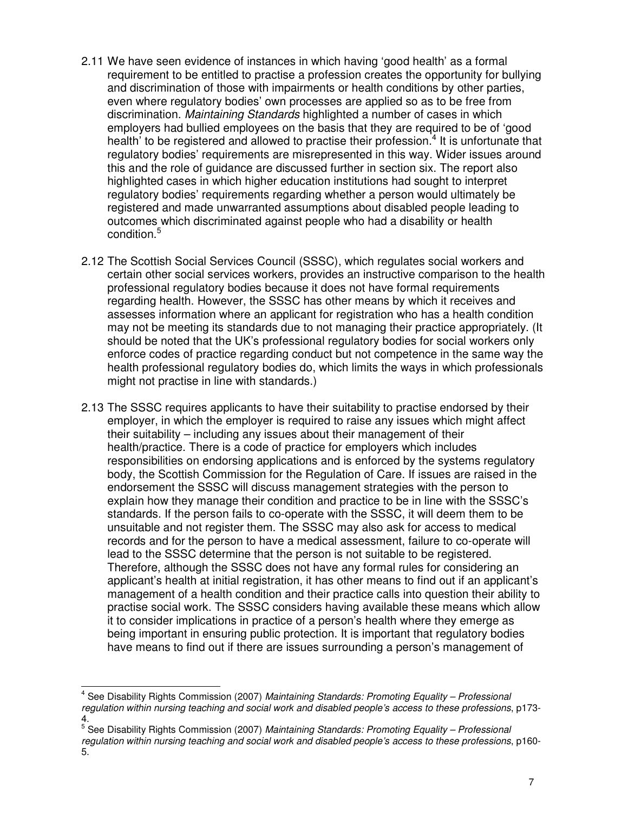- 2.11 We have seen evidence of instances in which having 'good health' as a formal requirement to be entitled to practise a profession creates the opportunity for bullying and discrimination of those with impairments or health conditions by other parties, even where regulatory bodies' own processes are applied so as to be free from discrimination. Maintaining Standards highlighted a number of cases in which employers had bullied employees on the basis that they are required to be of 'good health' to be registered and allowed to practise their profession.<sup>4</sup> It is unfortunate that regulatory bodies' requirements are misrepresented in this way. Wider issues around this and the role of guidance are discussed further in section six. The report also highlighted cases in which higher education institutions had sought to interpret regulatory bodies' requirements regarding whether a person would ultimately be registered and made unwarranted assumptions about disabled people leading to outcomes which discriminated against people who had a disability or health condition.<sup>5</sup>
- 2.12 The Scottish Social Services Council (SSSC), which regulates social workers and certain other social services workers, provides an instructive comparison to the health professional regulatory bodies because it does not have formal requirements regarding health. However, the SSSC has other means by which it receives and assesses information where an applicant for registration who has a health condition may not be meeting its standards due to not managing their practice appropriately. (It should be noted that the UK's professional regulatory bodies for social workers only enforce codes of practice regarding conduct but not competence in the same way the health professional regulatory bodies do, which limits the ways in which professionals might not practise in line with standards.)
- 2.13 The SSSC requires applicants to have their suitability to practise endorsed by their employer, in which the employer is required to raise any issues which might affect their suitability – including any issues about their management of their health/practice. There is a code of practice for employers which includes responsibilities on endorsing applications and is enforced by the systems regulatory body, the Scottish Commission for the Regulation of Care. If issues are raised in the endorsement the SSSC will discuss management strategies with the person to explain how they manage their condition and practice to be in line with the SSSC's standards. If the person fails to co-operate with the SSSC, it will deem them to be unsuitable and not register them. The SSSC may also ask for access to medical records and for the person to have a medical assessment, failure to co-operate will lead to the SSSC determine that the person is not suitable to be registered. Therefore, although the SSSC does not have any formal rules for considering an applicant's health at initial registration, it has other means to find out if an applicant's management of a health condition and their practice calls into question their ability to practise social work. The SSSC considers having available these means which allow it to consider implications in practice of a person's health where they emerge as being important in ensuring public protection. It is important that regulatory bodies have means to find out if there are issues surrounding a person's management of

<sup>&</sup>lt;sup>4</sup> See Disability Rights Commission (2007) Maintaining Standards: Promoting Equality - Professional regulation within nursing teaching and social work and disabled people's access to these professions, p173-

<sup>4.&</sup>lt;br><sup>5</sup> See Disability Rights Commission (2007) *Maintaining Standards: Promoting Equality – Professional* regulation within nursing teaching and social work and disabled people's access to these professions, p160-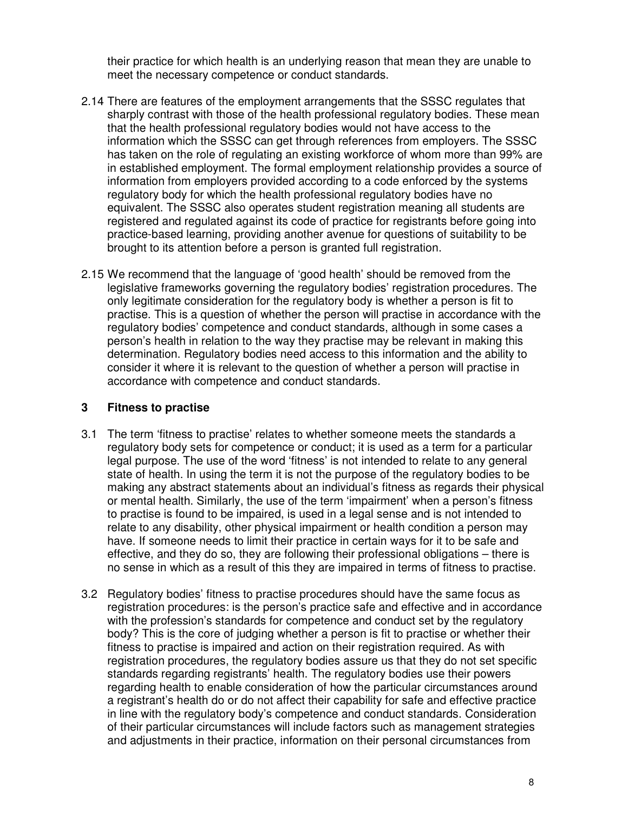their practice for which health is an underlying reason that mean they are unable to meet the necessary competence or conduct standards.

- 2.14 There are features of the employment arrangements that the SSSC regulates that sharply contrast with those of the health professional regulatory bodies. These mean that the health professional regulatory bodies would not have access to the information which the SSSC can get through references from employers. The SSSC has taken on the role of regulating an existing workforce of whom more than 99% are in established employment. The formal employment relationship provides a source of information from employers provided according to a code enforced by the systems regulatory body for which the health professional regulatory bodies have no equivalent. The SSSC also operates student registration meaning all students are registered and regulated against its code of practice for registrants before going into practice-based learning, providing another avenue for questions of suitability to be brought to its attention before a person is granted full registration.
- 2.15 We recommend that the language of 'good health' should be removed from the legislative frameworks governing the regulatory bodies' registration procedures. The only legitimate consideration for the regulatory body is whether a person is fit to practise. This is a question of whether the person will practise in accordance with the regulatory bodies' competence and conduct standards, although in some cases a person's health in relation to the way they practise may be relevant in making this determination. Regulatory bodies need access to this information and the ability to consider it where it is relevant to the question of whether a person will practise in accordance with competence and conduct standards.

#### **3 Fitness to practise**

- 3.1 The term 'fitness to practise' relates to whether someone meets the standards a regulatory body sets for competence or conduct; it is used as a term for a particular legal purpose. The use of the word 'fitness' is not intended to relate to any general state of health. In using the term it is not the purpose of the regulatory bodies to be making any abstract statements about an individual's fitness as regards their physical or mental health. Similarly, the use of the term 'impairment' when a person's fitness to practise is found to be impaired, is used in a legal sense and is not intended to relate to any disability, other physical impairment or health condition a person may have. If someone needs to limit their practice in certain ways for it to be safe and effective, and they do so, they are following their professional obligations – there is no sense in which as a result of this they are impaired in terms of fitness to practise.
- 3.2 Regulatory bodies' fitness to practise procedures should have the same focus as registration procedures: is the person's practice safe and effective and in accordance with the profession's standards for competence and conduct set by the regulatory body? This is the core of judging whether a person is fit to practise or whether their fitness to practise is impaired and action on their registration required. As with registration procedures, the regulatory bodies assure us that they do not set specific standards regarding registrants' health. The regulatory bodies use their powers regarding health to enable consideration of how the particular circumstances around a registrant's health do or do not affect their capability for safe and effective practice in line with the regulatory body's competence and conduct standards. Consideration of their particular circumstances will include factors such as management strategies and adjustments in their practice, information on their personal circumstances from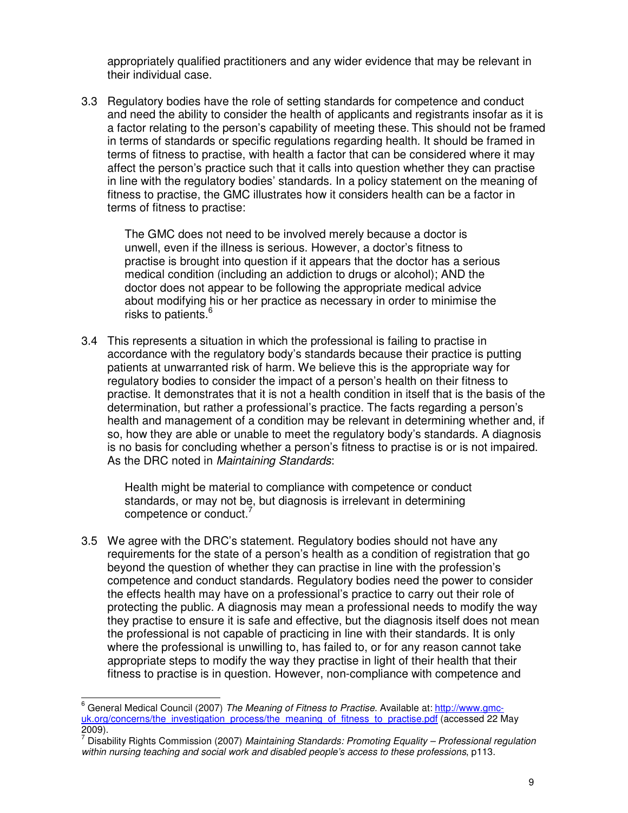appropriately qualified practitioners and any wider evidence that may be relevant in their individual case.

3.3 Regulatory bodies have the role of setting standards for competence and conduct and need the ability to consider the health of applicants and registrants insofar as it is a factor relating to the person's capability of meeting these. This should not be framed in terms of standards or specific regulations regarding health. It should be framed in terms of fitness to practise, with health a factor that can be considered where it may affect the person's practice such that it calls into question whether they can practise in line with the regulatory bodies' standards. In a policy statement on the meaning of fitness to practise, the GMC illustrates how it considers health can be a factor in terms of fitness to practise:

The GMC does not need to be involved merely because a doctor is unwell, even if the illness is serious. However, a doctor's fitness to practise is brought into question if it appears that the doctor has a serious medical condition (including an addiction to drugs or alcohol); AND the doctor does not appear to be following the appropriate medical advice about modifying his or her practice as necessary in order to minimise the risks to patients.<sup>6</sup>

3.4 This represents a situation in which the professional is failing to practise in accordance with the regulatory body's standards because their practice is putting patients at unwarranted risk of harm. We believe this is the appropriate way for regulatory bodies to consider the impact of a person's health on their fitness to practise. It demonstrates that it is not a health condition in itself that is the basis of the determination, but rather a professional's practice. The facts regarding a person's health and management of a condition may be relevant in determining whether and, if so, how they are able or unable to meet the regulatory body's standards. A diagnosis is no basis for concluding whether a person's fitness to practise is or is not impaired. As the DRC noted in Maintaining Standards:

Health might be material to compliance with competence or conduct standards, or may not be, but diagnosis is irrelevant in determining competence or conduct.

3.5 We agree with the DRC's statement. Regulatory bodies should not have any requirements for the state of a person's health as a condition of registration that go beyond the question of whether they can practise in line with the profession's competence and conduct standards. Regulatory bodies need the power to consider the effects health may have on a professional's practice to carry out their role of protecting the public. A diagnosis may mean a professional needs to modify the way they practise to ensure it is safe and effective, but the diagnosis itself does not mean the professional is not capable of practicing in line with their standards. It is only where the professional is unwilling to, has failed to, or for any reason cannot take appropriate steps to modify the way they practise in light of their health that their fitness to practise is in question. However, non-compliance with competence and

<sup>&</sup>lt;sup>6</sup> General Medical Council (2007) The Meaning of Fitness to Practise. Available at: http://www.gmcuk.org/concerns/the\_investigation\_process/the\_meaning\_of\_fitness\_to\_practise.pdf (accessed 22 May 2009).

<sup>&</sup>lt;sup>7</sup> Disability Rights Commission (2007) Maintaining Standards: Promoting Equality – Professional regulation within nursing teaching and social work and disabled people's access to these professions, p113.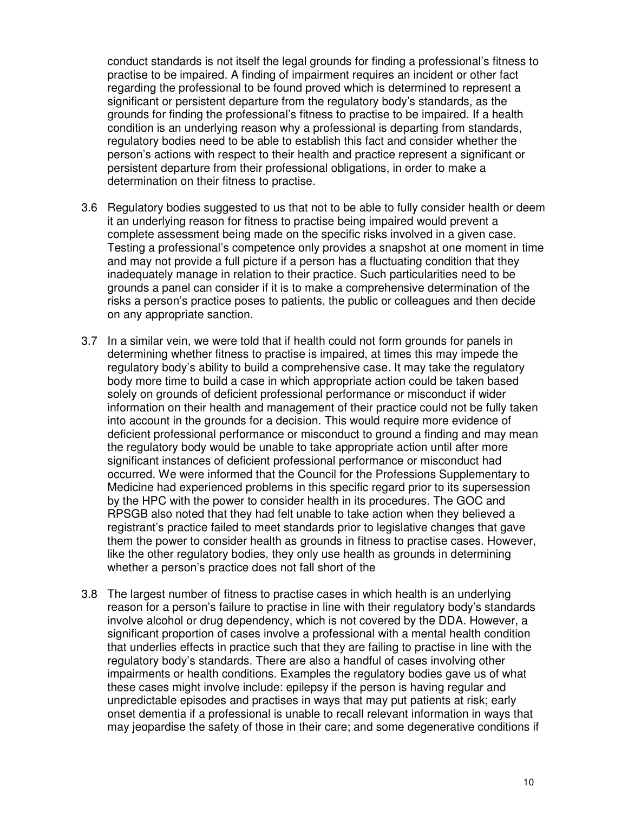conduct standards is not itself the legal grounds for finding a professional's fitness to practise to be impaired. A finding of impairment requires an incident or other fact regarding the professional to be found proved which is determined to represent a significant or persistent departure from the regulatory body's standards, as the grounds for finding the professional's fitness to practise to be impaired. If a health condition is an underlying reason why a professional is departing from standards, regulatory bodies need to be able to establish this fact and consider whether the person's actions with respect to their health and practice represent a significant or persistent departure from their professional obligations, in order to make a determination on their fitness to practise.

- 3.6 Regulatory bodies suggested to us that not to be able to fully consider health or deem it an underlying reason for fitness to practise being impaired would prevent a complete assessment being made on the specific risks involved in a given case. Testing a professional's competence only provides a snapshot at one moment in time and may not provide a full picture if a person has a fluctuating condition that they inadequately manage in relation to their practice. Such particularities need to be grounds a panel can consider if it is to make a comprehensive determination of the risks a person's practice poses to patients, the public or colleagues and then decide on any appropriate sanction.
- 3.7 In a similar vein, we were told that if health could not form grounds for panels in determining whether fitness to practise is impaired, at times this may impede the regulatory body's ability to build a comprehensive case. It may take the regulatory body more time to build a case in which appropriate action could be taken based solely on grounds of deficient professional performance or misconduct if wider information on their health and management of their practice could not be fully taken into account in the grounds for a decision. This would require more evidence of deficient professional performance or misconduct to ground a finding and may mean the regulatory body would be unable to take appropriate action until after more significant instances of deficient professional performance or misconduct had occurred. We were informed that the Council for the Professions Supplementary to Medicine had experienced problems in this specific regard prior to its supersession by the HPC with the power to consider health in its procedures. The GOC and RPSGB also noted that they had felt unable to take action when they believed a registrant's practice failed to meet standards prior to legislative changes that gave them the power to consider health as grounds in fitness to practise cases. However, like the other regulatory bodies, they only use health as grounds in determining whether a person's practice does not fall short of the
- 3.8 The largest number of fitness to practise cases in which health is an underlying reason for a person's failure to practise in line with their regulatory body's standards involve alcohol or drug dependency, which is not covered by the DDA. However, a significant proportion of cases involve a professional with a mental health condition that underlies effects in practice such that they are failing to practise in line with the regulatory body's standards. There are also a handful of cases involving other impairments or health conditions. Examples the regulatory bodies gave us of what these cases might involve include: epilepsy if the person is having regular and unpredictable episodes and practises in ways that may put patients at risk; early onset dementia if a professional is unable to recall relevant information in ways that may jeopardise the safety of those in their care; and some degenerative conditions if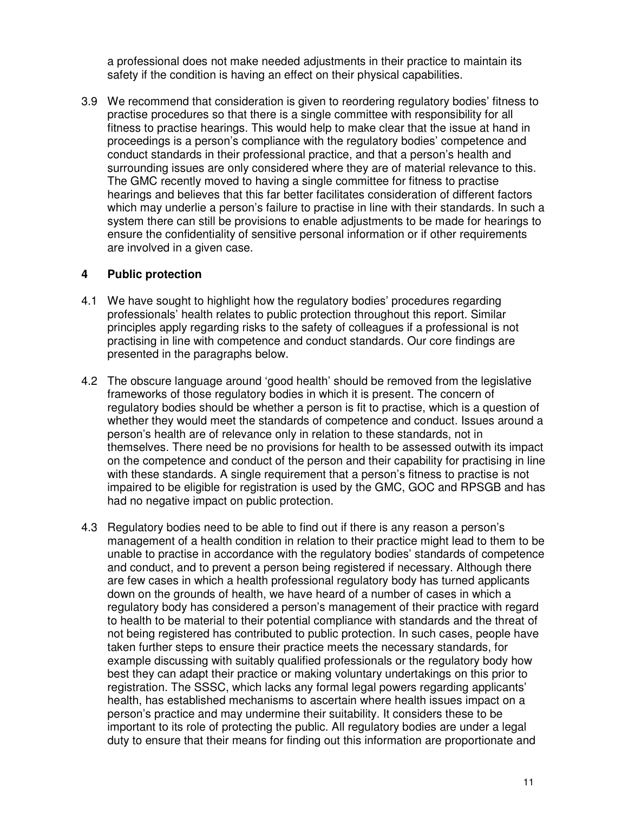a professional does not make needed adjustments in their practice to maintain its safety if the condition is having an effect on their physical capabilities.

3.9 We recommend that consideration is given to reordering regulatory bodies' fitness to practise procedures so that there is a single committee with responsibility for all fitness to practise hearings. This would help to make clear that the issue at hand in proceedings is a person's compliance with the regulatory bodies' competence and conduct standards in their professional practice, and that a person's health and surrounding issues are only considered where they are of material relevance to this. The GMC recently moved to having a single committee for fitness to practise hearings and believes that this far better facilitates consideration of different factors which may underlie a person's failure to practise in line with their standards. In such a system there can still be provisions to enable adjustments to be made for hearings to ensure the confidentiality of sensitive personal information or if other requirements are involved in a given case.

#### **4 Public protection**

- 4.1 We have sought to highlight how the regulatory bodies' procedures regarding professionals' health relates to public protection throughout this report. Similar principles apply regarding risks to the safety of colleagues if a professional is not practising in line with competence and conduct standards. Our core findings are presented in the paragraphs below.
- 4.2 The obscure language around 'good health' should be removed from the legislative frameworks of those regulatory bodies in which it is present. The concern of regulatory bodies should be whether a person is fit to practise, which is a question of whether they would meet the standards of competence and conduct. Issues around a person's health are of relevance only in relation to these standards, not in themselves. There need be no provisions for health to be assessed outwith its impact on the competence and conduct of the person and their capability for practising in line with these standards. A single requirement that a person's fitness to practise is not impaired to be eligible for registration is used by the GMC, GOC and RPSGB and has had no negative impact on public protection.
- 4.3 Regulatory bodies need to be able to find out if there is any reason a person's management of a health condition in relation to their practice might lead to them to be unable to practise in accordance with the regulatory bodies' standards of competence and conduct, and to prevent a person being registered if necessary. Although there are few cases in which a health professional regulatory body has turned applicants down on the grounds of health, we have heard of a number of cases in which a regulatory body has considered a person's management of their practice with regard to health to be material to their potential compliance with standards and the threat of not being registered has contributed to public protection. In such cases, people have taken further steps to ensure their practice meets the necessary standards, for example discussing with suitably qualified professionals or the regulatory body how best they can adapt their practice or making voluntary undertakings on this prior to registration. The SSSC, which lacks any formal legal powers regarding applicants' health, has established mechanisms to ascertain where health issues impact on a person's practice and may undermine their suitability. It considers these to be important to its role of protecting the public. All regulatory bodies are under a legal duty to ensure that their means for finding out this information are proportionate and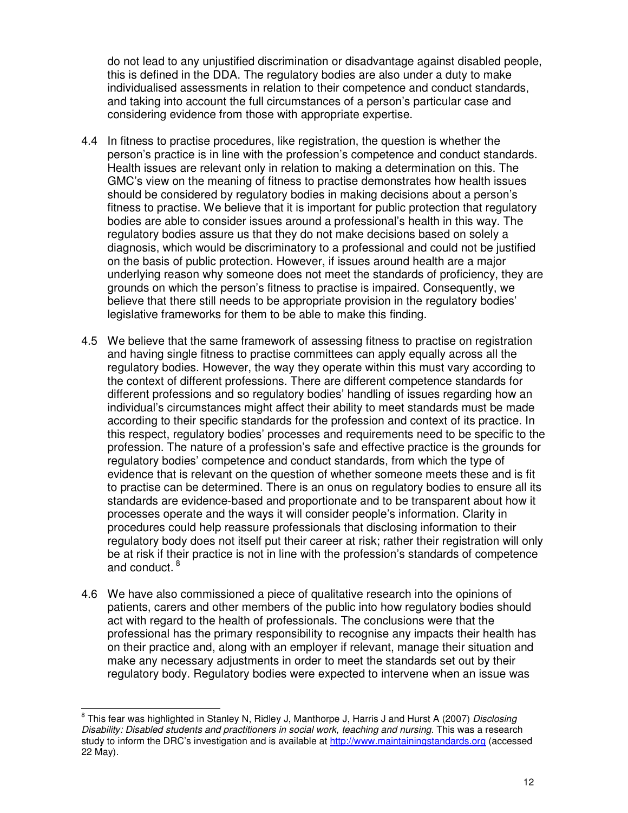do not lead to any unjustified discrimination or disadvantage against disabled people, this is defined in the DDA. The regulatory bodies are also under a duty to make individualised assessments in relation to their competence and conduct standards, and taking into account the full circumstances of a person's particular case and considering evidence from those with appropriate expertise.

- 4.4 In fitness to practise procedures, like registration, the question is whether the person's practice is in line with the profession's competence and conduct standards. Health issues are relevant only in relation to making a determination on this. The GMC's view on the meaning of fitness to practise demonstrates how health issues should be considered by regulatory bodies in making decisions about a person's fitness to practise. We believe that it is important for public protection that regulatory bodies are able to consider issues around a professional's health in this way. The regulatory bodies assure us that they do not make decisions based on solely a diagnosis, which would be discriminatory to a professional and could not be justified on the basis of public protection. However, if issues around health are a major underlying reason why someone does not meet the standards of proficiency, they are grounds on which the person's fitness to practise is impaired. Consequently, we believe that there still needs to be appropriate provision in the regulatory bodies' legislative frameworks for them to be able to make this finding.
- 4.5 We believe that the same framework of assessing fitness to practise on registration and having single fitness to practise committees can apply equally across all the regulatory bodies. However, the way they operate within this must vary according to the context of different professions. There are different competence standards for different professions and so regulatory bodies' handling of issues regarding how an individual's circumstances might affect their ability to meet standards must be made according to their specific standards for the profession and context of its practice. In this respect, regulatory bodies' processes and requirements need to be specific to the profession. The nature of a profession's safe and effective practice is the grounds for regulatory bodies' competence and conduct standards, from which the type of evidence that is relevant on the question of whether someone meets these and is fit to practise can be determined. There is an onus on regulatory bodies to ensure all its standards are evidence-based and proportionate and to be transparent about how it processes operate and the ways it will consider people's information. Clarity in procedures could help reassure professionals that disclosing information to their regulatory body does not itself put their career at risk; rather their registration will only be at risk if their practice is not in line with the profession's standards of competence and conduct.<sup>8</sup>
- 4.6 We have also commissioned a piece of qualitative research into the opinions of patients, carers and other members of the public into how regulatory bodies should act with regard to the health of professionals. The conclusions were that the professional has the primary responsibility to recognise any impacts their health has on their practice and, along with an employer if relevant, manage their situation and make any necessary adjustments in order to meet the standards set out by their regulatory body. Regulatory bodies were expected to intervene when an issue was

<sup>&</sup>lt;sup>8</sup> This fear was highlighted in Stanley N, Ridley J, Manthorpe J, Harris J and Hurst A (2007) Disclosing Disability: Disabled students and practitioners in social work, teaching and nursing. This was a research study to inform the DRC's investigation and is available at http://www.maintainingstandards.org (accessed 22 May).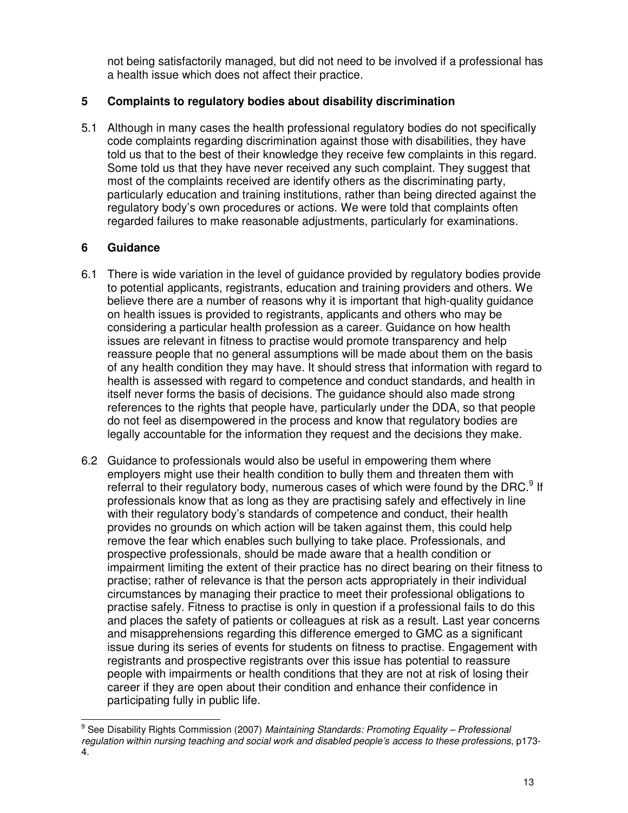not being satisfactorily managed, but did not need to be involved if a professional has a health issue which does not affect their practice.

### **5 Complaints to regulatory bodies about disability discrimination**

5.1 Although in many cases the health professional regulatory bodies do not specifically code complaints regarding discrimination against those with disabilities, they have told us that to the best of their knowledge they receive few complaints in this regard. Some told us that they have never received any such complaint. They suggest that most of the complaints received are identify others as the discriminating party, particularly education and training institutions, rather than being directed against the regulatory body's own procedures or actions. We were told that complaints often regarded failures to make reasonable adjustments, particularly for examinations.

## **6 Guidance**

- 6.1 There is wide variation in the level of guidance provided by regulatory bodies provide to potential applicants, registrants, education and training providers and others. We believe there are a number of reasons why it is important that high-quality guidance on health issues is provided to registrants, applicants and others who may be considering a particular health profession as a career. Guidance on how health issues are relevant in fitness to practise would promote transparency and help reassure people that no general assumptions will be made about them on the basis of any health condition they may have. It should stress that information with regard to health is assessed with regard to competence and conduct standards, and health in itself never forms the basis of decisions. The guidance should also made strong references to the rights that people have, particularly under the DDA, so that people do not feel as disempowered in the process and know that regulatory bodies are legally accountable for the information they request and the decisions they make.
- 6.2 Guidance to professionals would also be useful in empowering them where employers might use their health condition to bully them and threaten them with referral to their regulatory body, numerous cases of which were found by the DRC.<sup>9</sup> If professionals know that as long as they are practising safely and effectively in line with their regulatory body's standards of competence and conduct, their health provides no grounds on which action will be taken against them, this could help remove the fear which enables such bullying to take place. Professionals, and prospective professionals, should be made aware that a health condition or impairment limiting the extent of their practice has no direct bearing on their fitness to practise; rather of relevance is that the person acts appropriately in their individual circumstances by managing their practice to meet their professional obligations to practise safely. Fitness to practise is only in question if a professional fails to do this and places the safety of patients or colleagues at risk as a result. Last year concerns and misapprehensions regarding this difference emerged to GMC as a significant issue during its series of events for students on fitness to practise. Engagement with registrants and prospective registrants over this issue has potential to reassure people with impairments or health conditions that they are not at risk of losing their career if they are open about their condition and enhance their confidence in participating fully in public life.

<sup>&</sup>lt;sup>9</sup> See Disability Rights Commission (2007) Maintaining Standards: Promoting Equality – Professional regulation within nursing teaching and social work and disabled people's access to these professions, p173- 4.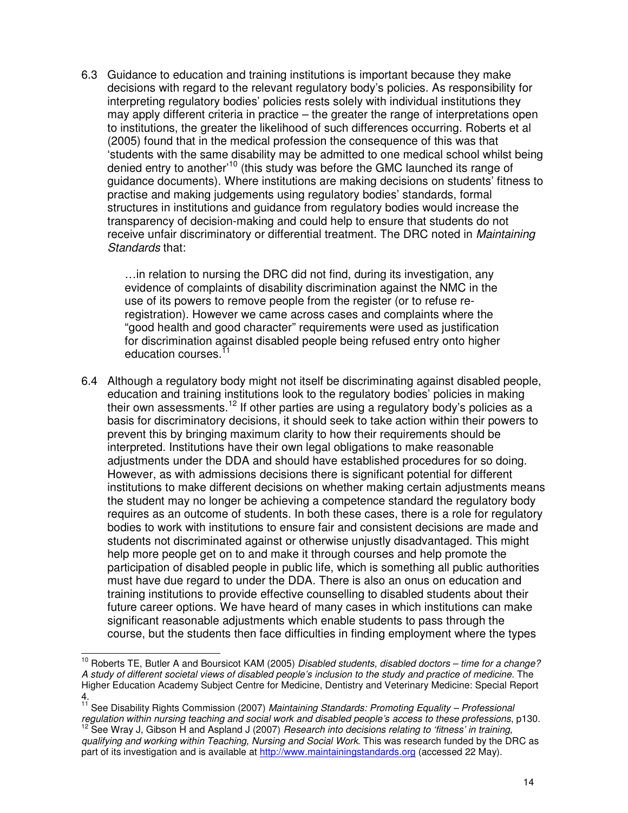6.3 Guidance to education and training institutions is important because they make decisions with regard to the relevant regulatory body's policies. As responsibility for interpreting regulatory bodies' policies rests solely with individual institutions they may apply different criteria in practice – the greater the range of interpretations open to institutions, the greater the likelihood of such differences occurring. Roberts et al (2005) found that in the medical profession the consequence of this was that 'students with the same disability may be admitted to one medical school whilst being denied entry to another'<sup>10</sup> (this study was before the GMC launched its range of guidance documents). Where institutions are making decisions on students' fitness to practise and making judgements using regulatory bodies' standards, formal structures in institutions and guidance from regulatory bodies would increase the transparency of decision-making and could help to ensure that students do not receive unfair discriminatory or differential treatment. The DRC noted in *Maintaining* Standards that:

…in relation to nursing the DRC did not find, during its investigation, any evidence of complaints of disability discrimination against the NMC in the use of its powers to remove people from the register (or to refuse reregistration). However we came across cases and complaints where the "good health and good character" requirements were used as justification for discrimination against disabled people being refused entry onto higher education courses.<sup>1</sup>

6.4 Although a regulatory body might not itself be discriminating against disabled people, education and training institutions look to the regulatory bodies' policies in making their own assessments.<sup>12</sup> If other parties are using a regulatory body's policies as a basis for discriminatory decisions, it should seek to take action within their powers to prevent this by bringing maximum clarity to how their requirements should be interpreted. Institutions have their own legal obligations to make reasonable adjustments under the DDA and should have established procedures for so doing. However, as with admissions decisions there is significant potential for different institutions to make different decisions on whether making certain adjustments means the student may no longer be achieving a competence standard the regulatory body requires as an outcome of students. In both these cases, there is a role for regulatory bodies to work with institutions to ensure fair and consistent decisions are made and students not discriminated against or otherwise unjustly disadvantaged. This might help more people get on to and make it through courses and help promote the participation of disabled people in public life, which is something all public authorities must have due regard to under the DDA. There is also an onus on education and training institutions to provide effective counselling to disabled students about their future career options. We have heard of many cases in which institutions can make significant reasonable adjustments which enable students to pass through the course, but the students then face difficulties in finding employment where the types

 $10$  Roberts TE, Butler A and Boursicot KAM (2005) Disabled students, disabled doctors – time for a change? A study of different societal views of disabled people's inclusion to the study and practice of medicine. The Higher Education Academy Subject Centre for Medicine, Dentistry and Veterinary Medicine: Special Report 4.

<sup>&</sup>lt;sup>11</sup> See Disability Rights Commission (2007) Maintaining Standards: Promoting Equality - Professional regulation within nursing teaching and social work and disabled people's access to these professions, p130.

 $12$  See Wray J, Gibson H and Aspland J (2007) Research into decisions relating to 'fitness' in training, qualifying and working within Teaching, Nursing and Social Work. This was research funded by the DRC as part of its investigation and is available at http://www.maintainingstandards.org (accessed 22 May).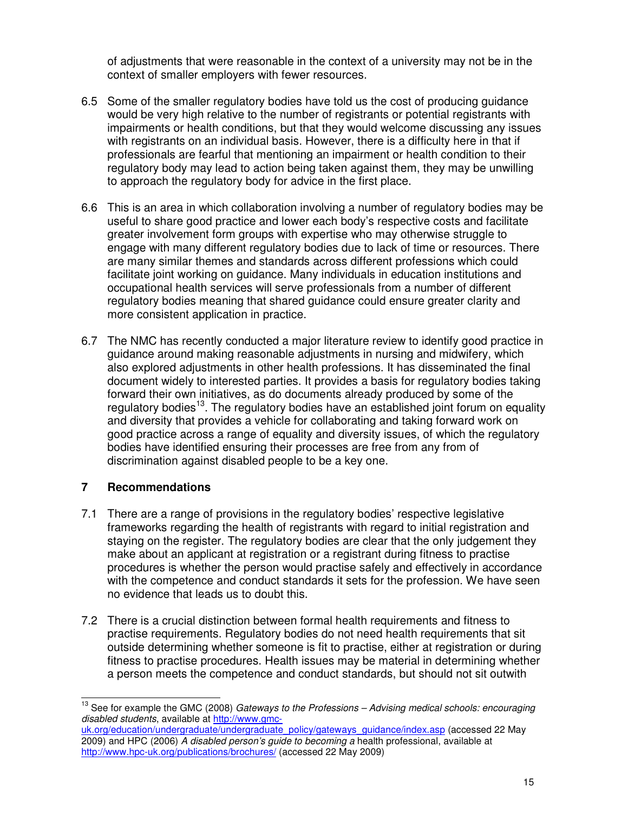of adjustments that were reasonable in the context of a university may not be in the context of smaller employers with fewer resources.

- 6.5 Some of the smaller regulatory bodies have told us the cost of producing guidance would be very high relative to the number of registrants or potential registrants with impairments or health conditions, but that they would welcome discussing any issues with registrants on an individual basis. However, there is a difficulty here in that if professionals are fearful that mentioning an impairment or health condition to their regulatory body may lead to action being taken against them, they may be unwilling to approach the regulatory body for advice in the first place.
- 6.6 This is an area in which collaboration involving a number of regulatory bodies may be useful to share good practice and lower each body's respective costs and facilitate greater involvement form groups with expertise who may otherwise struggle to engage with many different regulatory bodies due to lack of time or resources. There are many similar themes and standards across different professions which could facilitate joint working on guidance. Many individuals in education institutions and occupational health services will serve professionals from a number of different regulatory bodies meaning that shared guidance could ensure greater clarity and more consistent application in practice.
- 6.7 The NMC has recently conducted a major literature review to identify good practice in guidance around making reasonable adjustments in nursing and midwifery, which also explored adjustments in other health professions. It has disseminated the final document widely to interested parties. It provides a basis for regulatory bodies taking forward their own initiatives, as do documents already produced by some of the regulatory bodies<sup>13</sup>. The regulatory bodies have an established joint forum on equality and diversity that provides a vehicle for collaborating and taking forward work on good practice across a range of equality and diversity issues, of which the regulatory bodies have identified ensuring their processes are free from any from of discrimination against disabled people to be a key one.

#### **7 Recommendations**

- 7.1 There are a range of provisions in the regulatory bodies' respective legislative frameworks regarding the health of registrants with regard to initial registration and staying on the register. The regulatory bodies are clear that the only judgement they make about an applicant at registration or a registrant during fitness to practise procedures is whether the person would practise safely and effectively in accordance with the competence and conduct standards it sets for the profession. We have seen no evidence that leads us to doubt this.
- 7.2 There is a crucial distinction between formal health requirements and fitness to practise requirements. Regulatory bodies do not need health requirements that sit outside determining whether someone is fit to practise, either at registration or during fitness to practise procedures. Health issues may be material in determining whether a person meets the competence and conduct standards, but should not sit outwith

 $13$  See for example the GMC (2008) Gateways to the Professions – Advising medical schools: encouraging disabled students, available at http://www.gmc-

uk.org/education/undergraduate/undergraduate\_policy/gateways\_guidance/index.asp (accessed 22 May 2009) and HPC (2006) A disabled person's guide to becoming a health professional, available at http://www.hpc-uk.org/publications/brochures/ (accessed 22 May 2009)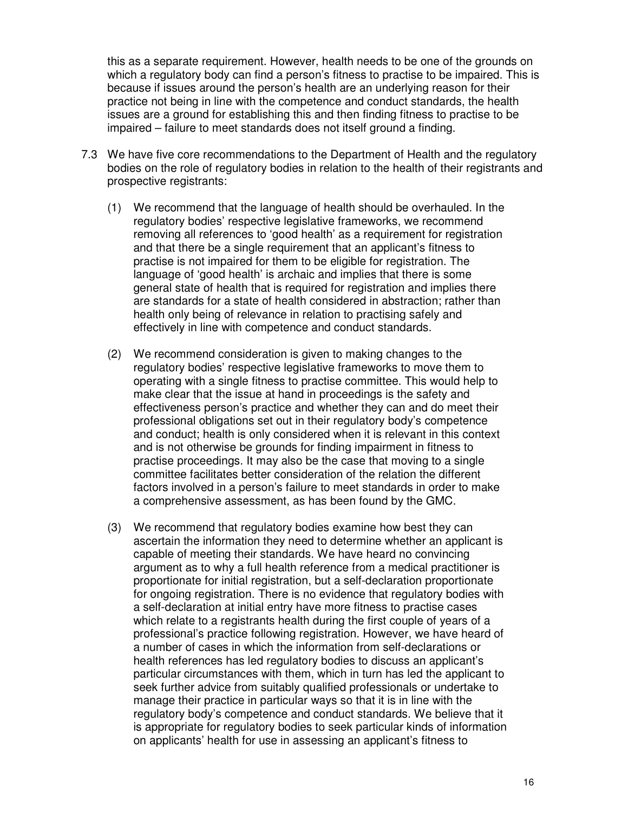this as a separate requirement. However, health needs to be one of the grounds on which a regulatory body can find a person's fitness to practise to be impaired. This is because if issues around the person's health are an underlying reason for their practice not being in line with the competence and conduct standards, the health issues are a ground for establishing this and then finding fitness to practise to be impaired – failure to meet standards does not itself ground a finding.

- 7.3 We have five core recommendations to the Department of Health and the regulatory bodies on the role of regulatory bodies in relation to the health of their registrants and prospective registrants:
	- (1) We recommend that the language of health should be overhauled. In the regulatory bodies' respective legislative frameworks, we recommend removing all references to 'good health' as a requirement for registration and that there be a single requirement that an applicant's fitness to practise is not impaired for them to be eligible for registration. The language of 'good health' is archaic and implies that there is some general state of health that is required for registration and implies there are standards for a state of health considered in abstraction; rather than health only being of relevance in relation to practising safely and effectively in line with competence and conduct standards.
	- (2) We recommend consideration is given to making changes to the regulatory bodies' respective legislative frameworks to move them to operating with a single fitness to practise committee. This would help to make clear that the issue at hand in proceedings is the safety and effectiveness person's practice and whether they can and do meet their professional obligations set out in their regulatory body's competence and conduct; health is only considered when it is relevant in this context and is not otherwise be grounds for finding impairment in fitness to practise proceedings. It may also be the case that moving to a single committee facilitates better consideration of the relation the different factors involved in a person's failure to meet standards in order to make a comprehensive assessment, as has been found by the GMC.
	- (3) We recommend that regulatory bodies examine how best they can ascertain the information they need to determine whether an applicant is capable of meeting their standards. We have heard no convincing argument as to why a full health reference from a medical practitioner is proportionate for initial registration, but a self-declaration proportionate for ongoing registration. There is no evidence that regulatory bodies with a self-declaration at initial entry have more fitness to practise cases which relate to a registrants health during the first couple of years of a professional's practice following registration. However, we have heard of a number of cases in which the information from self-declarations or health references has led regulatory bodies to discuss an applicant's particular circumstances with them, which in turn has led the applicant to seek further advice from suitably qualified professionals or undertake to manage their practice in particular ways so that it is in line with the regulatory body's competence and conduct standards. We believe that it is appropriate for regulatory bodies to seek particular kinds of information on applicants' health for use in assessing an applicant's fitness to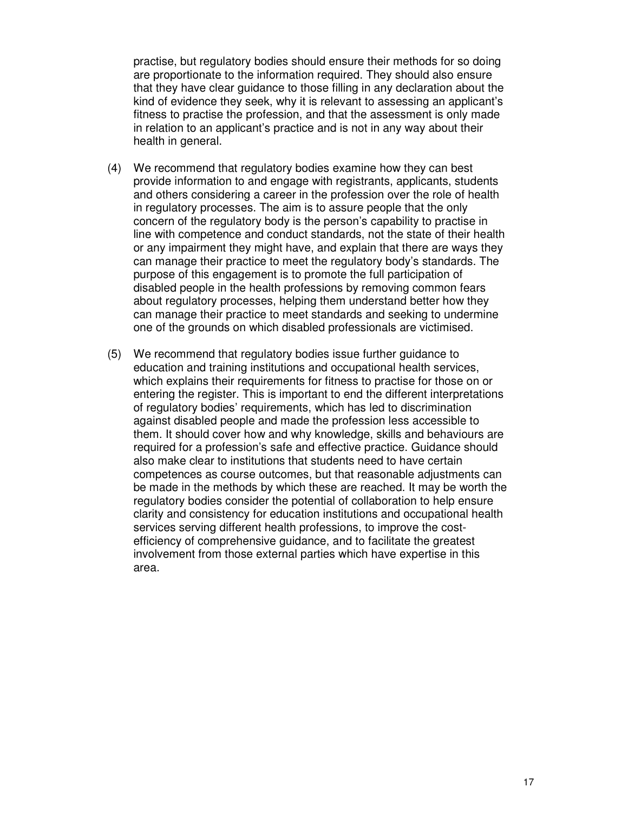practise, but regulatory bodies should ensure their methods for so doing are proportionate to the information required. They should also ensure that they have clear guidance to those filling in any declaration about the kind of evidence they seek, why it is relevant to assessing an applicant's fitness to practise the profession, and that the assessment is only made in relation to an applicant's practice and is not in any way about their health in general.

- (4) We recommend that regulatory bodies examine how they can best provide information to and engage with registrants, applicants, students and others considering a career in the profession over the role of health in regulatory processes. The aim is to assure people that the only concern of the regulatory body is the person's capability to practise in line with competence and conduct standards, not the state of their health or any impairment they might have, and explain that there are ways they can manage their practice to meet the regulatory body's standards. The purpose of this engagement is to promote the full participation of disabled people in the health professions by removing common fears about regulatory processes, helping them understand better how they can manage their practice to meet standards and seeking to undermine one of the grounds on which disabled professionals are victimised.
- (5) We recommend that regulatory bodies issue further guidance to education and training institutions and occupational health services, which explains their requirements for fitness to practise for those on or entering the register. This is important to end the different interpretations of regulatory bodies' requirements, which has led to discrimination against disabled people and made the profession less accessible to them. It should cover how and why knowledge, skills and behaviours are required for a profession's safe and effective practice. Guidance should also make clear to institutions that students need to have certain competences as course outcomes, but that reasonable adjustments can be made in the methods by which these are reached. It may be worth the regulatory bodies consider the potential of collaboration to help ensure clarity and consistency for education institutions and occupational health services serving different health professions, to improve the costefficiency of comprehensive guidance, and to facilitate the greatest involvement from those external parties which have expertise in this area.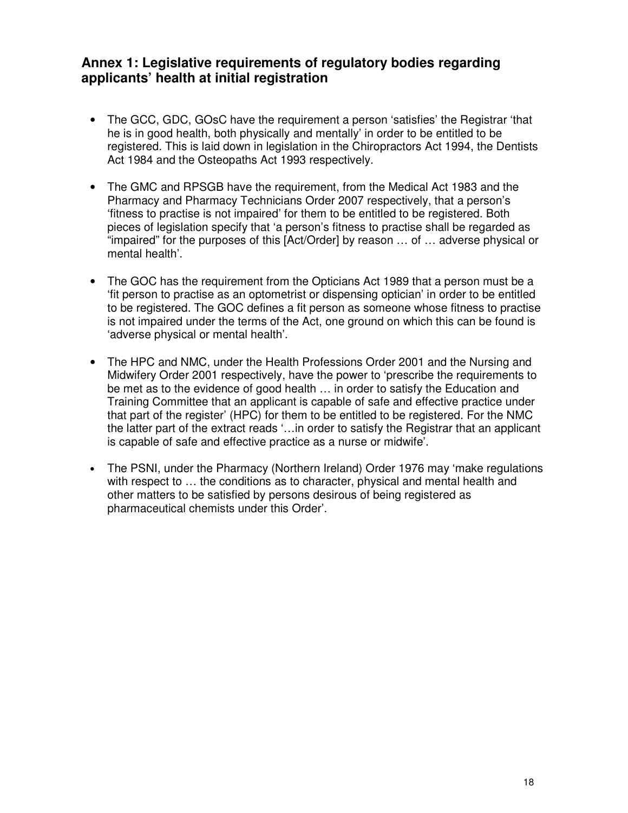# **Annex 1: Legislative requirements of regulatory bodies regarding applicants' health at initial registration**

- The GCC, GDC, GOsC have the requirement a person 'satisfies' the Registrar 'that he is in good health, both physically and mentally' in order to be entitled to be registered. This is laid down in legislation in the Chiropractors Act 1994, the Dentists Act 1984 and the Osteopaths Act 1993 respectively.
- The GMC and RPSGB have the requirement, from the Medical Act 1983 and the Pharmacy and Pharmacy Technicians Order 2007 respectively, that a person's 'fitness to practise is not impaired' for them to be entitled to be registered. Both pieces of legislation specify that 'a person's fitness to practise shall be regarded as "impaired" for the purposes of this [Act/Order] by reason … of … adverse physical or mental health'.
- The GOC has the requirement from the Opticians Act 1989 that a person must be a 'fit person to practise as an optometrist or dispensing optician' in order to be entitled to be registered. The GOC defines a fit person as someone whose fitness to practise is not impaired under the terms of the Act, one ground on which this can be found is 'adverse physical or mental health'.
- The HPC and NMC, under the Health Professions Order 2001 and the Nursing and Midwifery Order 2001 respectively, have the power to 'prescribe the requirements to be met as to the evidence of good health … in order to satisfy the Education and Training Committee that an applicant is capable of safe and effective practice under that part of the register' (HPC) for them to be entitled to be registered. For the NMC the latter part of the extract reads '…in order to satisfy the Registrar that an applicant is capable of safe and effective practice as a nurse or midwife'.
- The PSNI, under the Pharmacy (Northern Ireland) Order 1976 may 'make regulations with respect to … the conditions as to character, physical and mental health and other matters to be satisfied by persons desirous of being registered as pharmaceutical chemists under this Order'.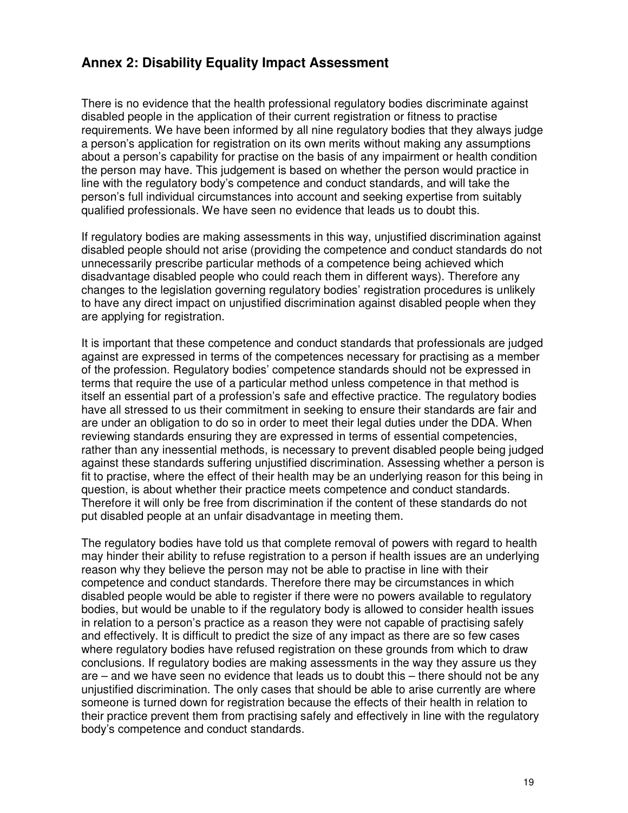# **Annex 2: Disability Equality Impact Assessment**

There is no evidence that the health professional regulatory bodies discriminate against disabled people in the application of their current registration or fitness to practise requirements. We have been informed by all nine regulatory bodies that they always judge a person's application for registration on its own merits without making any assumptions about a person's capability for practise on the basis of any impairment or health condition the person may have. This judgement is based on whether the person would practice in line with the regulatory body's competence and conduct standards, and will take the person's full individual circumstances into account and seeking expertise from suitably qualified professionals. We have seen no evidence that leads us to doubt this.

If regulatory bodies are making assessments in this way, unjustified discrimination against disabled people should not arise (providing the competence and conduct standards do not unnecessarily prescribe particular methods of a competence being achieved which disadvantage disabled people who could reach them in different ways). Therefore any changes to the legislation governing regulatory bodies' registration procedures is unlikely to have any direct impact on unjustified discrimination against disabled people when they are applying for registration.

It is important that these competence and conduct standards that professionals are judged against are expressed in terms of the competences necessary for practising as a member of the profession. Regulatory bodies' competence standards should not be expressed in terms that require the use of a particular method unless competence in that method is itself an essential part of a profession's safe and effective practice. The regulatory bodies have all stressed to us their commitment in seeking to ensure their standards are fair and are under an obligation to do so in order to meet their legal duties under the DDA. When reviewing standards ensuring they are expressed in terms of essential competencies, rather than any inessential methods, is necessary to prevent disabled people being judged against these standards suffering unjustified discrimination. Assessing whether a person is fit to practise, where the effect of their health may be an underlying reason for this being in question, is about whether their practice meets competence and conduct standards. Therefore it will only be free from discrimination if the content of these standards do not put disabled people at an unfair disadvantage in meeting them.

The regulatory bodies have told us that complete removal of powers with regard to health may hinder their ability to refuse registration to a person if health issues are an underlying reason why they believe the person may not be able to practise in line with their competence and conduct standards. Therefore there may be circumstances in which disabled people would be able to register if there were no powers available to regulatory bodies, but would be unable to if the regulatory body is allowed to consider health issues in relation to a person's practice as a reason they were not capable of practising safely and effectively. It is difficult to predict the size of any impact as there are so few cases where regulatory bodies have refused registration on these grounds from which to draw conclusions. If regulatory bodies are making assessments in the way they assure us they are – and we have seen no evidence that leads us to doubt this – there should not be any unjustified discrimination. The only cases that should be able to arise currently are where someone is turned down for registration because the effects of their health in relation to their practice prevent them from practising safely and effectively in line with the regulatory body's competence and conduct standards.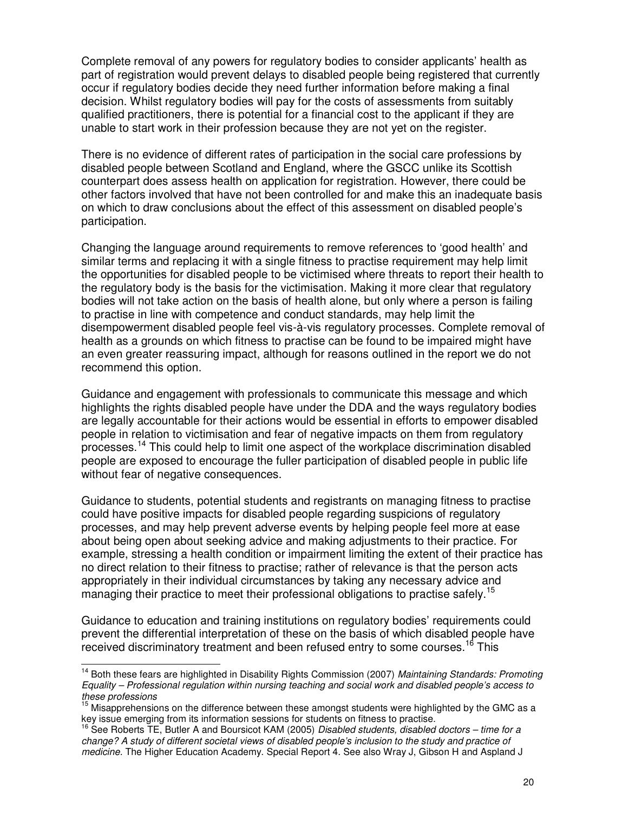Complete removal of any powers for regulatory bodies to consider applicants' health as part of registration would prevent delays to disabled people being registered that currently occur if regulatory bodies decide they need further information before making a final decision. Whilst regulatory bodies will pay for the costs of assessments from suitably qualified practitioners, there is potential for a financial cost to the applicant if they are unable to start work in their profession because they are not yet on the register.

There is no evidence of different rates of participation in the social care professions by disabled people between Scotland and England, where the GSCC unlike its Scottish counterpart does assess health on application for registration. However, there could be other factors involved that have not been controlled for and make this an inadequate basis on which to draw conclusions about the effect of this assessment on disabled people's participation.

Changing the language around requirements to remove references to 'good health' and similar terms and replacing it with a single fitness to practise requirement may help limit the opportunities for disabled people to be victimised where threats to report their health to the regulatory body is the basis for the victimisation. Making it more clear that regulatory bodies will not take action on the basis of health alone, but only where a person is failing to practise in line with competence and conduct standards, may help limit the disempowerment disabled people feel vis-à-vis regulatory processes. Complete removal of health as a grounds on which fitness to practise can be found to be impaired might have an even greater reassuring impact, although for reasons outlined in the report we do not recommend this option.

Guidance and engagement with professionals to communicate this message and which highlights the rights disabled people have under the DDA and the ways regulatory bodies are legally accountable for their actions would be essential in efforts to empower disabled people in relation to victimisation and fear of negative impacts on them from regulatory processes.<sup>14</sup> This could help to limit one aspect of the workplace discrimination disabled people are exposed to encourage the fuller participation of disabled people in public life without fear of negative consequences.

Guidance to students, potential students and registrants on managing fitness to practise could have positive impacts for disabled people regarding suspicions of regulatory processes, and may help prevent adverse events by helping people feel more at ease about being open about seeking advice and making adjustments to their practice. For example, stressing a health condition or impairment limiting the extent of their practice has no direct relation to their fitness to practise; rather of relevance is that the person acts appropriately in their individual circumstances by taking any necessary advice and managing their practice to meet their professional obligations to practise safely.<sup>15</sup>

Guidance to education and training institutions on regulatory bodies' requirements could prevent the differential interpretation of these on the basis of which disabled people have received discriminatory treatment and been refused entry to some courses.<sup>16</sup> This

<sup>&</sup>lt;sup>14</sup> Both these fears are highlighted in Disability Rights Commission (2007) Maintaining Standards: Promoting Equality – Professional regulation within nursing teaching and social work and disabled people's access to these professions

 $15$  Misapprehensions on the difference between these amongst students were highlighted by the GMC as a key issue emerging from its information sessions for students on fitness to practise.

 $^{16}$  See Roberts TE, Butler A and Boursicot KAM (2005) Disabled students, disabled doctors – time for a change? A study of different societal views of disabled people's inclusion to the study and practice of medicine. The Higher Education Academy. Special Report 4. See also Wray J, Gibson H and Aspland J